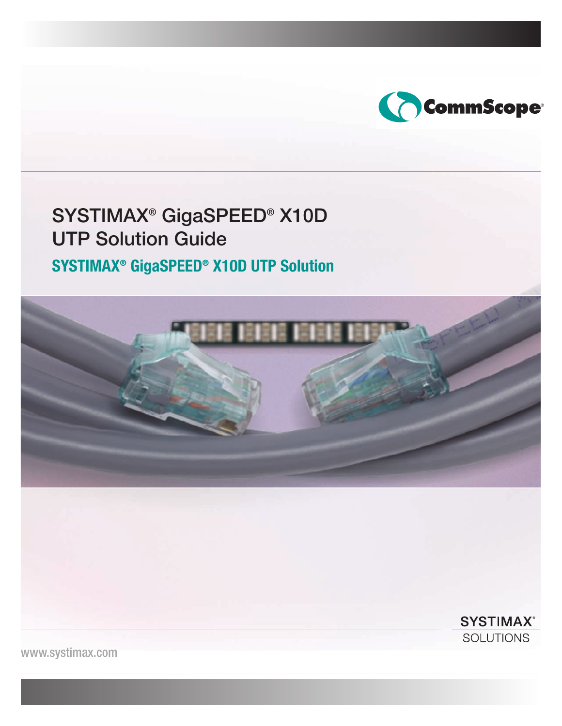

# SYSTIMAX® GigaSPEED® X10D UTP Solution Guide

# **SYSTIMAX® GigaSPEED® X10D UTP Solution**



**SYSTIMAX® SOLUTIONS** 

www.systimax.com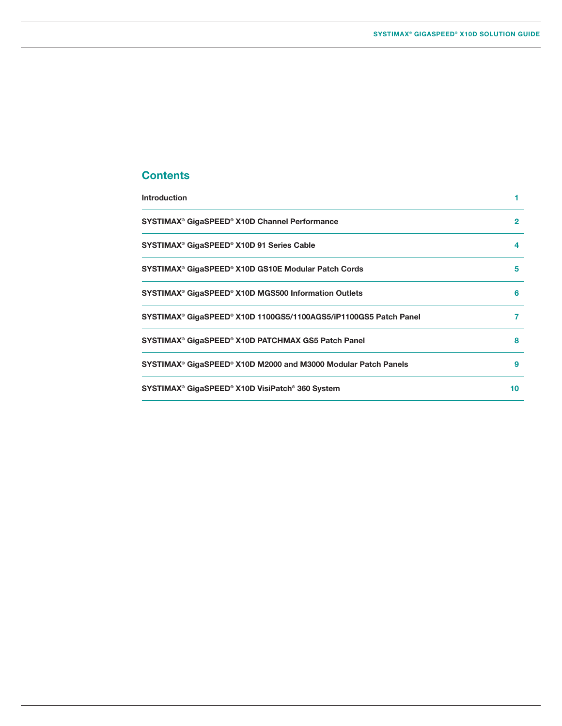# **Contents**

| <b>Introduction</b>                                              |              |
|------------------------------------------------------------------|--------------|
| SYSTIMAX® GigaSPEED® X10D Channel Performance                    | $\mathbf{2}$ |
| SYSTIMAX® GigaSPEED® X10D 91 Series Cable                        | 4            |
| SYSTIMAX® GigaSPEED® X10D GS10E Modular Patch Cords              | 5            |
| SYSTIMAX® GigaSPEED® X10D MGS500 Information Outlets             | 6            |
| SYSTIMAX® GigaSPEED® X10D 1100GS5/1100AGS5/iP1100GS5 Patch Panel | 7            |
| SYSTIMAX® GigaSPEED® X10D PATCHMAX GS5 Patch Panel               | 8            |
| SYSTIMAX® GigaSPEED® X10D M2000 and M3000 Modular Patch Panels   | 9            |
| SYSTIMAX® GigaSPEED® X10D VisiPatch® 360 System                  | 10           |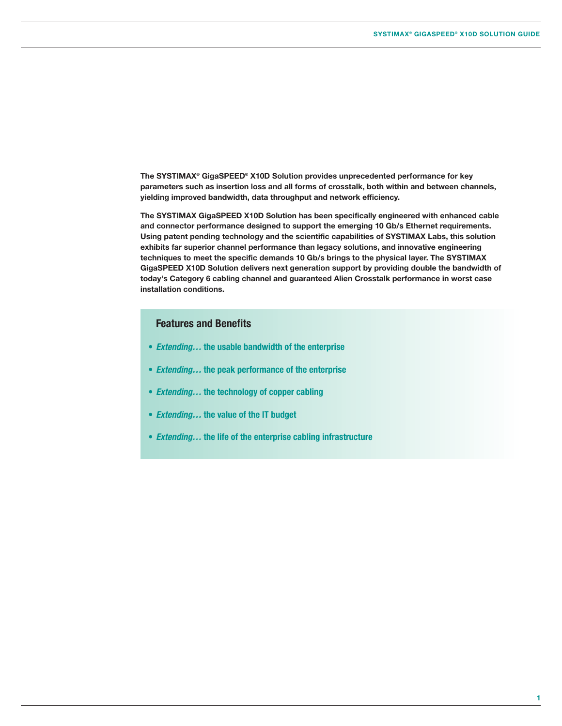**The SYSTIMAX® GigaSPEED® X10D Solution provides unprecedented performance for key parameters such as insertion loss and all forms of crosstalk, both within and between channels, yielding improved bandwidth, data throughput and network efficiency.**

**The SYSTIMAX GigaSPEED X10D Solution has been specifically engineered with enhanced cable and connector performance designed to support the emerging 10 Gb/s Ethernet requirements. Using patent pending technology and the scientific capabilities of SYSTIMAX Labs, this solution exhibits far superior channel performance than legacy solutions, and innovative engineering techniques to meet the specific demands 10 Gb/s brings to the physical layer. The SYSTIMAX GigaSPEED X10D Solution delivers next generation support by providing double the bandwidth of today's Category 6 cabling channel and guaranteed Alien Crosstalk performance in worst case installation conditions.**

# **Features and Benefits**

- **•** *Extending…* **the usable bandwidth of the enterprise**
- **•** *Extending…* **the peak performance of the enterprise**
- **•** *Extending…* **the technology of copper cabling**
- **•** *Extending…* **the value of the IT budget**
- **•** *Extending…* **the life of the enterprise cabling infrastructure**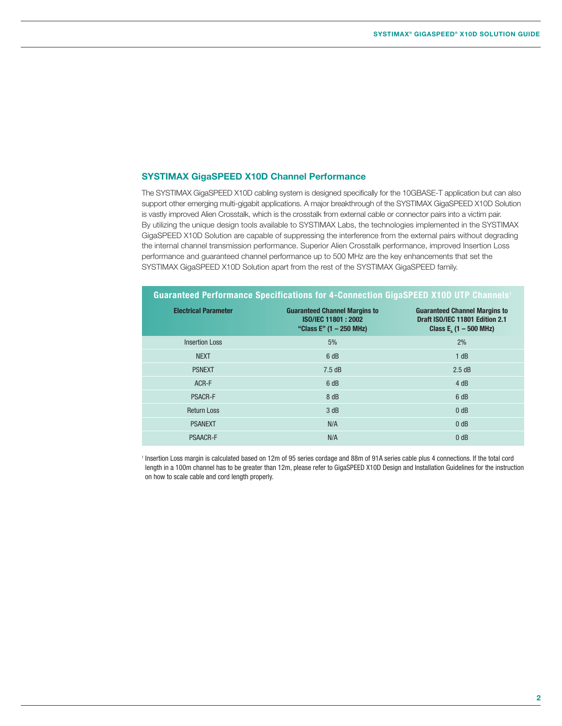#### **SYSTIMAX GigaSPEED X10D Channel Performance**

The SYSTIMAX GigaSPEED X10D cabling system is designed specifically for the 10GBASE-T application but can also support other emerging multi-gigabit applications. A major breakthrough of the SYSTIMAX GigaSPEED X10D Solution is vastly improved Alien Crosstalk, which is the crosstalk from external cable or connector pairs into a victim pair. By utilizing the unique design tools available to SYSTIMAX Labs, the technologies implemented in the SYSTIMAX GigaSPEED X10D Solution are capable of suppressing the interference from the external pairs without degrading the internal channel transmission performance. Superior Alien Crosstalk performance, improved Insertion Loss performance and guaranteed channel performance up to 500 MHz are the key enhancements that set the SYSTIMAX GigaSPEED X10D Solution apart from the rest of the SYSTIMAX GigaSPEED family.

| <b>Guaranteed Performance Specifications for 4-Connection GigaSPEED X10D UTP Channels'</b> |                                                                                        |                                                                                                      |  |  |
|--------------------------------------------------------------------------------------------|----------------------------------------------------------------------------------------|------------------------------------------------------------------------------------------------------|--|--|
| <b>Electrical Parameter</b>                                                                | <b>Guaranteed Channel Margins to</b><br>ISO/IEC 11801: 2002<br>"Class E" (1 - 250 MHz) | <b>Guaranteed Channel Margins to</b><br>Draft ISO/IEC 11801 Edition 2.1<br>Class $E_a$ (1 – 500 MHz) |  |  |
| <b>Insertion Loss</b>                                                                      | 5%                                                                                     | 2%                                                                                                   |  |  |
| <b>NEXT</b>                                                                                | 6 dB                                                                                   | 1 dB                                                                                                 |  |  |
| <b>PSNEXT</b>                                                                              | 7.5dB                                                                                  | 2.5 dB                                                                                               |  |  |
| ACR-F                                                                                      | 6 dB                                                                                   | 4 dB                                                                                                 |  |  |
| <b>PSACR-F</b>                                                                             | 8 dB                                                                                   | 6 dB                                                                                                 |  |  |
| <b>Return Loss</b>                                                                         | 3 dB                                                                                   | 0 <sub>d</sub> B                                                                                     |  |  |
| <b>PSANEXT</b>                                                                             | N/A                                                                                    | 0 <sub>dB</sub>                                                                                      |  |  |
| <b>PSAACR-F</b>                                                                            | N/A                                                                                    | 0 dB                                                                                                 |  |  |

<sup>1</sup> Insertion Loss margin is calculated based on 12m of 95 series cordage and 88m of 91A series cable plus 4 connections. If the total cord length in a 100m channel has to be greater than 12m, please refer to GigaSPEED X10D Design and Installation Guidelines for the instruction on how to scale cable and cord length properly.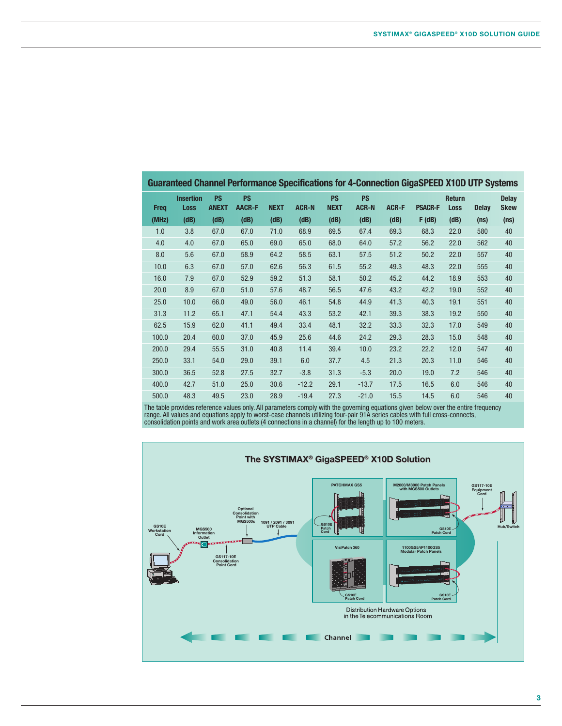|             |                                 |                           |                            |             |              |                          |                           |              | <b>Guaranteed Channel Performance Specifications for 4-Connection GigaSPEED X10D UTP Systems</b> |                              |                   |                             |
|-------------|---------------------------------|---------------------------|----------------------------|-------------|--------------|--------------------------|---------------------------|--------------|--------------------------------------------------------------------------------------------------|------------------------------|-------------------|-----------------------------|
| <b>Freq</b> | <b>Insertion</b><br><b>Loss</b> | <b>PS</b><br><b>ANEXT</b> | <b>PS</b><br><b>AACR-F</b> | <b>NEXT</b> | <b>ACR-N</b> | <b>PS</b><br><b>NEXT</b> | <b>PS</b><br><b>ACR-N</b> | <b>ACR-F</b> | <b>PSACR-F</b>                                                                                   | <b>Return</b><br><b>Loss</b> | <b>Delay</b>      | <b>Delay</b><br><b>Skew</b> |
| (MHz)       | (dB)                            | (dB)                      | (dB)                       | (dB)        | (dB)         | (dB)                     | (dB)                      | (dB)         | F(dB)                                                                                            | (dB)                         | (n <sub>S</sub> ) | (n <sub>S</sub> )           |
| 1.0         | 3.8                             | 67.0                      | 67.0                       | 71.0        | 68.9         | 69.5                     | 67.4                      | 69.3         | 68.3                                                                                             | 22.0                         | 580               | 40                          |
| 4.0         | 4.0                             | 67.0                      | 65.0                       | 69.0        | 65.0         | 68.0                     | 64.0                      | 57.2         | 56.2                                                                                             | 22.0                         | 562               | 40                          |
| 8.0         | 5.6                             | 67.0                      | 58.9                       | 64.2        | 58.5         | 63.1                     | 57.5                      | 51.2         | 50.2                                                                                             | 22.0                         | 557               | 40                          |
| 10.0        | 6.3                             | 67.0                      | 57.0                       | 62.6        | 56.3         | 61.5                     | 55.2                      | 49.3         | 48.3                                                                                             | 22.0                         | 555               | 40                          |
| 16.0        | 7.9                             | 67.0                      | 52.9                       | 59.2        | 51.3         | 58.1                     | 50.2                      | 45.2         | 44.2                                                                                             | 18.9                         | 553               | 40                          |
| 20.0        | 8.9                             | 67.0                      | 51.0                       | 57.6        | 48.7         | 56.5                     | 47.6                      | 43.2         | 42.2                                                                                             | 19.0                         | 552               | 40                          |
| 25.0        | 10.0                            | 66.0                      | 49.0                       | 56.0        | 46.1         | 54.8                     | 44.9                      | 41.3         | 40.3                                                                                             | 19.1                         | 551               | 40                          |
| 31.3        | 11.2                            | 65.1                      | 47.1                       | 54.4        | 43.3         | 53.2                     | 42.1                      | 39.3         | 38.3                                                                                             | 19.2                         | 550               | 40                          |
| 62.5        | 15.9                            | 62.0                      | 41.1                       | 49.4        | 33.4         | 48.1                     | 32.2                      | 33.3         | 32.3                                                                                             | 17.0                         | 549               | 40                          |
| 100.0       | 20.4                            | 60.0                      | 37.0                       | 45.9        | 25.6         | 44.6                     | 24.2                      | 29.3         | 28.3                                                                                             | 15.0                         | 548               | 40                          |
| 200.0       | 29.4                            | 55.5                      | 31.0                       | 40.8        | 11.4         | 39.4                     | 10.0                      | 23.2         | 22.2                                                                                             | 12.0                         | 547               | 40                          |
| 250.0       | 33.1                            | 54.0                      | 29.0                       | 39.1        | 6.0          | 37.7                     | 4.5                       | 21.3         | 20.3                                                                                             | 11.0                         | 546               | 40                          |
| 300.0       | 36.5                            | 52.8                      | 27.5                       | 32.7        | $-3.8$       | 31.3                     | $-5.3$                    | 20.0         | 19.0                                                                                             | 7.2                          | 546               | 40                          |
| 400.0       | 42.7                            | 51.0                      | 25.0                       | 30.6        | $-12.2$      | 29.1                     | $-13.7$                   | 17.5         | 16.5                                                                                             | 6.0                          | 546               | 40                          |
| 500.0       | 48.3                            | 49.5                      | 23.0                       | 28.9        | $-19.4$      | 27.3                     | $-21.0$                   | 15.5         | 14.5                                                                                             | 6.0                          | 546               | 40                          |

The table provides reference values only. All parameters comply with the governing equations given below over the entire frequency range. All values and equations apply to worst-case channels utilizing four-pair 91A series cables with full cross-connects, consolidation points and work area outlets (4 connections in a channel) for the length up to 100 meters.

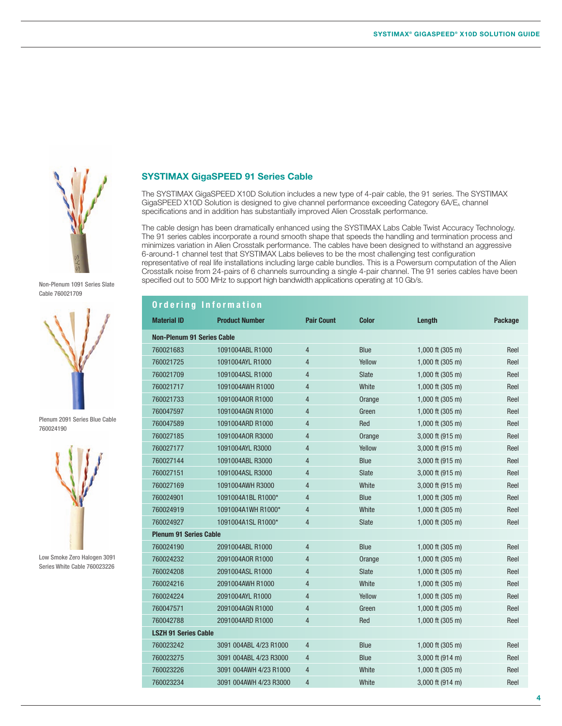

#### Non-Plenum 1091 Series Slate Cable 760021709



Plenum 2091 Series Blue Cable 760024190



Low Smoke Zero Halogen 3091 Series White Cable 760023226

#### **SYSTIMAX GigaSPEED 91 Series Cable**

The SYSTIMAX GigaSPEED X10D Solution includes a new type of 4-pair cable, the 91 series. The SYSTIMAX GigaSPEED X10D Solution is designed to give channel performance exceeding Category 6A/E<sub>A</sub> channel specifications and in addition has substantially improved Alien Crosstalk performance.

The cable design has been dramatically enhanced using the SYSTIMAX Labs Cable Twist Accuracy Technology. The 91 series cables incorporate a round smooth shape that speeds the handling and termination process and minimizes variation in Alien Crosstalk performance. The cables have been designed to withstand an aggressive 6-around-1 channel test that SYSTIMAX Labs believes to be the most challenging test configuration representative of real life installations including large cable bundles. This is a Powersum computation of the Alien Crosstalk noise from 24-pairs of 6 channels surrounding a single 4-pair channel. The 91 series cables have been specified out to 500 MHz to support high bandwidth applications operating at 10 Gb/s.

|                                   | Ordering Information   |                   |              |                            |         |
|-----------------------------------|------------------------|-------------------|--------------|----------------------------|---------|
| <b>Material ID</b>                | <b>Product Number</b>  | <b>Pair Count</b> | <b>Color</b> | Length                     | Package |
| <b>Non-Plenum 91 Series Cable</b> |                        |                   |              |                            |         |
| 760021683                         | 1091004ABL R1000       | $\overline{4}$    | <b>Blue</b>  | 1,000 ft $(305 \text{ m})$ | Reel    |
| 760021725                         | 1091004AYL R1000       | $\overline{4}$    | Yellow       | $1,000$ ft (305 m)         | Reel    |
| 760021709                         | 1091004ASL R1000       | $\overline{4}$    | <b>Slate</b> | 1,000 ft $(305 \text{ m})$ | Reel    |
| 760021717                         | 1091004AWH R1000       | $\overline{4}$    | White        | 1,000 ft (305 m)           | Reel    |
| 760021733                         | 1091004A0R R1000       | $\overline{4}$    | Orange       | 1,000 ft (305 m)           | Reel    |
| 760047597                         | 1091004AGN R1000       | $\overline{4}$    | Green        | 1,000 ft $(305 \text{ m})$ | Reel    |
| 760047589                         | 1091004ARD R1000       | $\overline{4}$    | Red          | 1,000 ft $(305 \text{ m})$ | Reel    |
| 760027185                         | 1091004A0R R3000       | $\overline{4}$    | Orange       | 3,000 ft (915 m)           | Reel    |
| 760027177                         | 1091004AYL R3000       | $\overline{4}$    | Yellow       | $3,000$ ft (915 m)         | Reel    |
| 760027144                         | 1091004ABL R3000       | $\overline{4}$    | <b>Blue</b>  | 3,000 ft (915 m)           | Reel    |
| 760027151                         | 1091004ASL R3000       | $\overline{4}$    | <b>Slate</b> | 3,000 ft (915 m)           | Reel    |
| 760027169                         | 1091004AWH R3000       | $\overline{4}$    | White        | 3,000 ft (915 m)           | Reel    |
| 760024901                         | 1091004A1BL R1000*     | $\overline{4}$    | <b>Blue</b>  | 1,000 ft $(305 \text{ m})$ | Reel    |
| 760024919                         | 1091004A1WH R1000*     | 4                 | White        | 1,000 ft $(305 \text{ m})$ | Reel    |
| 760024927                         | 1091004A1SL R1000*     | $\overline{4}$    | <b>Slate</b> | 1,000 ft $(305 \text{ m})$ | Reel    |
| <b>Plenum 91 Series Cable</b>     |                        |                   |              |                            |         |
| 760024190                         | 2091004ABL R1000       | $\overline{4}$    | <b>Blue</b>  | 1,000 ft $(305 \text{ m})$ | Reel    |
| 760024232                         | 2091004A0R R1000       | $\overline{4}$    | Orange       | $1,000$ ft (305 m)         | Reel    |
| 760024208                         | 2091004ASL R1000       | 4                 | <b>Slate</b> | 1,000 ft $(305 \text{ m})$ | Reel    |
| 760024216                         | 2091004AWH R1000       | $\overline{4}$    | White        | 1,000 ft (305 m)           | Reel    |
| 760024224                         | 2091004AYL R1000       | $\overline{4}$    | Yellow       | 1,000 ft (305 m)           | Reel    |
| 760047571                         | 2091004AGN R1000       | 4                 | Green        | 1,000 ft $(305 \text{ m})$ | Reel    |
| 760042788                         | 2091004ARD R1000       | $\overline{4}$    | Red          | 1,000 ft $(305 \text{ m})$ | Reel    |
| <b>LSZH 91 Series Cable</b>       |                        |                   |              |                            |         |
| 760023242                         | 3091 004ABL 4/23 R1000 | 4                 | <b>Blue</b>  | 1,000 ft $(305 \text{ m})$ | Reel    |
| 760023275                         | 3091 004ABL 4/23 R3000 | 4                 | <b>Blue</b>  | 3,000 ft (914 m)           | Reel    |
| 760023226                         | 3091 004AWH 4/23 R1000 | 4                 | White        | 1,000 ft $(305 \text{ m})$ | Reel    |
| 760023234                         | 3091 004AWH 4/23 R3000 | $\overline{4}$    | White        | 3,000 ft (914 m)           | Reel    |
|                                   |                        |                   |              |                            |         |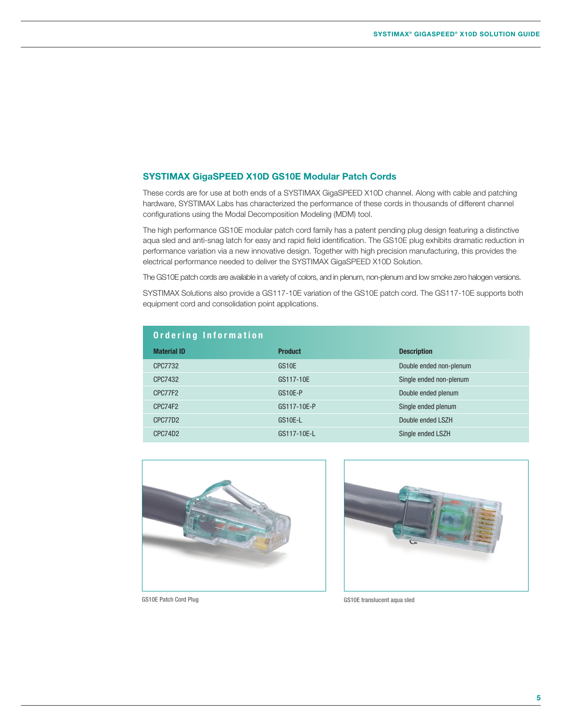#### **SYSTIMAX GigaSPEED X10D GS10E Modular Patch Cords**

These cords are for use at both ends of a SYSTIMAX GigaSPEED X10D channel. Along with cable and patching hardware, SYSTIMAX Labs has characterized the performance of these cords in thousands of different channel configurations using the Modal Decomposition Modeling (MDM) tool.

The high performance GS10E modular patch cord family has a patent pending plug design featuring a distinctive aqua sled and anti-snag latch for easy and rapid field identification. The GS10E plug exhibits dramatic reduction in performance variation via a new innovative design. Together with high precision manufacturing, this provides the electrical performance needed to deliver the SYSTIMAX GigaSPEED X10D Solution.

The GS10E patch cords are available in a variety of colors, and in plenum, non-plenum and low smoke zero halogen versions.

SYSTIMAX Solutions also provide a GS117-10E variation of the GS10E patch cord. The GS117-10E supports both equipment cord and consolidation point applications.

| Ordering Information |                    |                         |
|----------------------|--------------------|-------------------------|
| <b>Material ID</b>   | <b>Product</b>     | <b>Description</b>      |
| CPC7732              | GS <sub>10</sub> E | Double ended non-plenum |
| CPC7432              | GS117-10E          | Single ended non-plenum |
| CPC77F2              | GS10E-P            | Double ended plenum     |
| CPC74F2              | GS117-10E-P        | Single ended plenum     |
| CPC77D2              | GS10E-L            | Double ended LSZH       |
| CPC74D2              | GS117-10E-L        | Single ended LSZH       |





GS10E Patch Cord Plug GS10E translucent aqua sled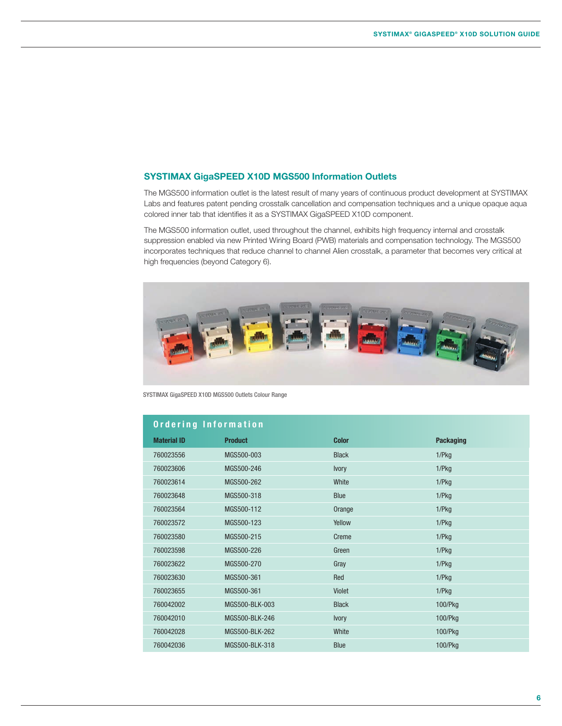#### **SYSTIMAX GigaSPEED X10D MGS500 Information Outlets**

The MGS500 information outlet is the latest result of many years of continuous product development at SYSTIMAX Labs and features patent pending crosstalk cancellation and compensation techniques and a unique opaque aqua colored inner tab that identifies it as a SYSTIMAX GigaSPEED X10D component.

The MGS500 information outlet, used throughout the channel, exhibits high frequency internal and crosstalk suppression enabled via new Printed Wiring Board (PWB) materials and compensation technology. The MGS500 incorporates techniques that reduce channel to channel Alien crosstalk, a parameter that becomes very critical at high frequencies (beyond Category 6).



SYSTIMAX GigaSPEED X10D MGS500 Outlets Colour Range

| Ordering Information |                |              |                  |  |
|----------------------|----------------|--------------|------------------|--|
| <b>Material ID</b>   | <b>Product</b> | <b>Color</b> | <b>Packaging</b> |  |
| 760023556            | MGS500-003     | <b>Black</b> | 1/Pkg            |  |
| 760023606            | MGS500-246     | <b>Ivory</b> | 1/Pkg            |  |
| 760023614            | MGS500-262     | White        | 1/Pkg            |  |
| 760023648            | MGS500-318     | <b>Blue</b>  | 1/Pkg            |  |
| 760023564            | MGS500-112     | Orange       | 1/Pkg            |  |
| 760023572            | MGS500-123     | Yellow       | 1/Pkg            |  |
| 760023580            | MGS500-215     | Creme        | 1/Pkg            |  |
| 760023598            | MGS500-226     | Green        | 1/Pkg            |  |
| 760023622            | MGS500-270     | Gray         | 1/Pkg            |  |
| 760023630            | MGS500-361     | Red          | 1/Pkg            |  |
| 760023655            | MGS500-361     | Violet       | 1/Pkg            |  |
| 760042002            | MGS500-BLK-003 | <b>Black</b> | 100/Pkg          |  |
| 760042010            | MGS500-BLK-246 | <b>Ivory</b> | 100/Pkg          |  |
| 760042028            | MGS500-BLK-262 | White        | 100/Pkg          |  |
| 760042036            | MGS500-BLK-318 | <b>Blue</b>  | 100/Pkg          |  |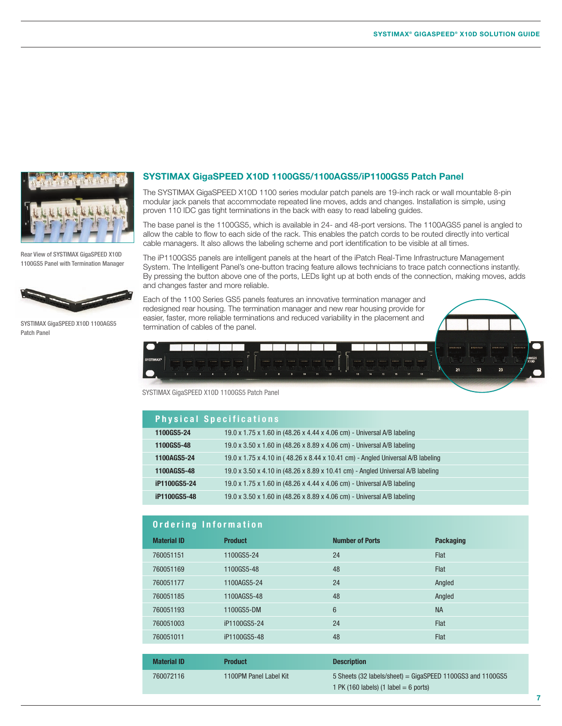

Rear View of SYSTIMAX GigaSPEED X10D 1100GS5 Panel with Termination Manager



SYSTIMAX GigaSPEED X10D 1100AGS5 Patch Panel

#### **SYSTIMAX GigaSPEED X10D 1100GS5/1100AGS5/iP1100GS5 Patch Panel**

The SYSTIMAX GigaSPEED X10D 1100 series modular patch panels are 19-inch rack or wall mountable 8-pin modular jack panels that accommodate repeated line moves, adds and changes. Installation is simple, using proven 110 IDC gas tight terminations in the back with easy to read labeling guides.

The base panel is the 1100GS5, which is available in 24- and 48-port versions. The 1100AGS5 panel is angled to allow the cable to flow to each side of the rack. This enables the patch cords to be routed directly into vertical cable managers. It also allows the labeling scheme and port identification to be visible at all times.

The iP1100GS5 panels are intelligent panels at the heart of the iPatch Real-Time Infrastructure Management System. The Intelligent Panel's one-button tracing feature allows technicians to trace patch connections instantly. By pressing the button above one of the ports, LEDs light up at both ends of the connection, making moves, adds and changes faster and more reliable.

Each of the 1100 Series GS5 panels features an innovative termination manager and redesigned rear housing. The termination manager and new rear housing provide for easier, faster, more reliable terminations and reduced variability in the placement and termination of cables of the panel.



SYSTIMAX GigaSPEED X10D 1100GS5 Patch Panel

|              | Physical Specifications                                                         |  |  |  |
|--------------|---------------------------------------------------------------------------------|--|--|--|
| 1100GS5-24   | 19.0 x 1.75 x 1.60 in (48.26 x 4.44 x 4.06 cm) - Universal A/B labeling         |  |  |  |
| 1100GS5-48   | 19.0 x 3.50 x 1.60 in (48.26 x 8.89 x 4.06 cm) - Universal A/B labeling         |  |  |  |
| 1100AGS5-24  | 19.0 x 1.75 x 4.10 in (48.26 x 8.44 x 10.41 cm) - Angled Universal A/B labeling |  |  |  |
| 1100AGS5-48  | 19.0 x 3.50 x 4.10 in (48.26 x 8.89 x 10.41 cm) - Angled Universal A/B labeling |  |  |  |
| iP1100GS5-24 | 19.0 x 1.75 x 1.60 in (48.26 x 4.44 x 4.06 cm) - Universal A/B labeling         |  |  |  |
| iP1100GS5-48 | 19.0 x 3.50 x 1.60 in (48.26 x 8.89 x 4.06 cm) - Universal A/B labeling         |  |  |  |

#### **Ordering Information**

| <b>Material ID</b> | <b>Product</b> | <b>Number of Ports</b> | <b>Packaging</b> |  |
|--------------------|----------------|------------------------|------------------|--|
| 760051151          | 1100GS5-24     | 24                     | <b>Flat</b>      |  |
| 760051169          | 1100GS5-48     | 48                     | Flat             |  |
| 760051177          | 1100AGS5-24    | 24                     | Angled           |  |
| 760051185          | 1100AGS5-48    | 48                     | Angled           |  |
| 760051193          | 1100GS5-DM     | 6                      | <b>NA</b>        |  |
| 760051003          | iP1100GS5-24   | 24                     | Flat             |  |
| 760051011          | iP1100GS5-48   | 48                     | <b>Flat</b>      |  |

| <b>Material ID</b> | <b>Product</b>         | <b>Description</b>                                                                                      |
|--------------------|------------------------|---------------------------------------------------------------------------------------------------------|
| 760072116          | 1100PM Panel Label Kit | $5$ Sheets (32 labels/sheet) = GigaSPEED 1100GS3 and 1100GS5<br>1 PK (160 labels) (1 label $= 6$ ports) |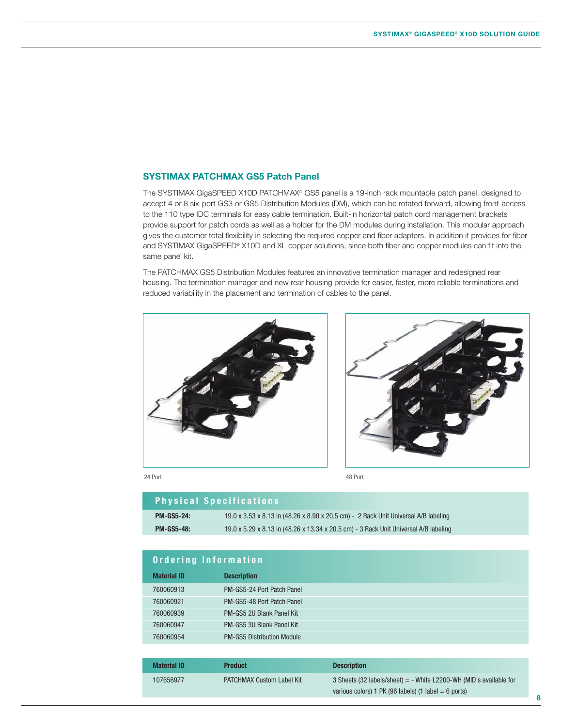#### **SYSTIMAX PATCHMAX GS5 Patch Panel**

The SYSTIMAX GigaSPEED X10D PATCHMAX® GS5 panel is a 19-inch rack mountable patch panel, designed to accept 4 or 8 six-port GS3 or GS5 Distribution Modules (DM), which can be rotated forward, allowing front-access to the 110 type IDC terminals for easy cable termination. Built-in horizontal patch cord management brackets provide support for patch cords as well as a holder for the DM modules during installation. This modular approach gives the customer total flexibility in selecting the required copper and fiber adapters. In addition it provides for fiber and SYSTIMAX GigaSPEED® X10D and XL copper solutions, since both fiber and copper modules can fit into the same panel kit.

The PATCHMAX GS5 Distribution Modules features an innovative termination manager and redesigned rear housing. The termination manager and new rear housing provide for easier, faster, more reliable terminations and reduced variability in the placement and termination of cables to the panel.



24 Port 48 Port

|                   | <b>Physical Specifications</b>                                                       |
|-------------------|--------------------------------------------------------------------------------------|
| <b>PM-GS5-24:</b> | 19.0 x 3.53 x 8.13 in (48.26 x 8.90 x 20.5 cm) - 2 Rack Unit Universal A/B labeling  |
| <b>PM-GS5-48:</b> | 19.0 x 5.29 x 8.13 in (48.26 x 13.34 x 20.5 cm) - 3 Rack Unit Universal A/B labeling |

| <b>Ordering Information</b> |                                   |  |
|-----------------------------|-----------------------------------|--|
| <b>Material ID</b>          | <b>Description</b>                |  |
| 760060913                   | PM-GS5-24 Port Patch Panel        |  |
| 760060921                   | PM-GS5-48 Port Patch Panel        |  |
| 760060939                   | PM-GS5 2U Blank Panel Kit         |  |
| 760060947                   | PM-GS5 3U Blank Panel Kit         |  |
| 760060954                   | <b>PM-GS5 Distribution Module</b> |  |

| <b>Material ID</b> | <b>Product</b>                   | <b>Description</b>                                                   |
|--------------------|----------------------------------|----------------------------------------------------------------------|
| 107656977          | <b>PATCHMAX Custom Label Kit</b> | 3 Sheets (32 labels/sheet) $=$ - White L2200-WH (MID's available for |
|                    |                                  | various colors) $1$ PK (96 labels) ( $1$ label = 6 ports)            |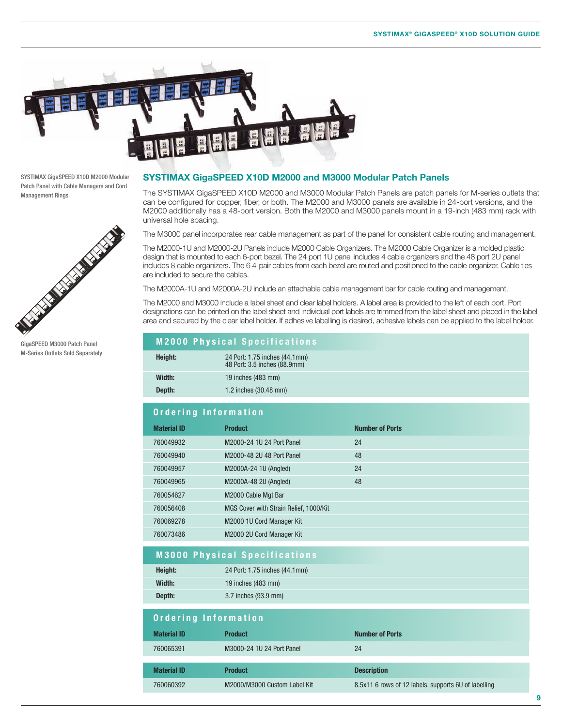

SYSTIMAX GigaSPEED X10D M2000 Modular Patch Panel with Cable Managers and Cord Management Rings



GigaSPEED M3000 Patch Panel M-Series Outlets Sold Separately

#### **SYSTIMAX GigaSPEED X10D M2000 and M3000 Modular Patch Panels**

The SYSTIMAX GigaSPEED X10D M2000 and M3000 Modular Patch Panels are patch panels for M-series outlets that can be configured for copper, fiber, or both. The M2000 and M3000 panels are available in 24-port versions, and the M2000 additionally has a 48-port version. Both the M2000 and M3000 panels mount in a 19-inch (483 mm) rack with universal hole spacing.

The M3000 panel incorporates rear cable management as part of the panel for consistent cable routing and management.

The M2000-1U and M2000-2U Panels include M2000 Cable Organizers. The M2000 Cable Organizer is a molded plastic design that is mounted to each 6-port bezel. The 24 port 1U panel includes 4 cable organizers and the 48 port 2U panel includes 8 cable organizers. The 6 4-pair cables from each bezel are routed and positioned to the cable organizer. Cable ties are included to secure the cables.

The M2000A-1U and M2000A-2U include an attachable cable management bar for cable routing and management.

The M2000 and M3000 include a label sheet and clear label holders. A label area is provided to the left of each port. Port designations can be printed on the label sheet and individual port labels are trimmed from the label sheet and placed in the label area and secured by the clear label holder. If adhesive labelling is desired, adhesive labels can be applied to the label holder.

# **M2000 Physical Specifications**

#### **Ordering Information**

| <b>Material ID</b> | <b>Product</b>                         | <b>Number of Ports</b> |
|--------------------|----------------------------------------|------------------------|
| 760049932          | M2000-24 1U 24 Port Panel              | 24                     |
| 760049940          | M2000-48 2U 48 Port Panel              | 48                     |
| 760049957          | M2000A-24 1U (Angled)                  | 24                     |
| 760049965          | M2000A-48 2U (Angled)                  | 48                     |
| 760054627          | M2000 Cable Mgt Bar                    |                        |
| 760056408          | MGS Cover with Strain Relief, 1000/Kit |                        |
| 760069278          | M2000 1U Cord Manager Kit              |                        |
| 760073486          | M2000 2U Cord Manager Kit              |                        |

# **M3000 Physical Specifications**

| Height: | 24 Port: 1.75 inches (44.1mm) |
|---------|-------------------------------|
| Width:  | 19 inches $(483 \text{ mm})$  |
| Depth:  | 3.7 inches (93.9 mm)          |

| Ordering Information |                              |                                                      |  |
|----------------------|------------------------------|------------------------------------------------------|--|
| <b>Material ID</b>   | <b>Product</b>               | <b>Number of Ports</b>                               |  |
| 760065391            | M3000-24 1U 24 Port Panel    | 24                                                   |  |
|                      |                              |                                                      |  |
| <b>Material ID</b>   | <b>Product</b>               | <b>Description</b>                                   |  |
| 760060392            | M2000/M3000 Custom Label Kit | 8.5x11 6 rows of 12 labels, supports 6U of labelling |  |